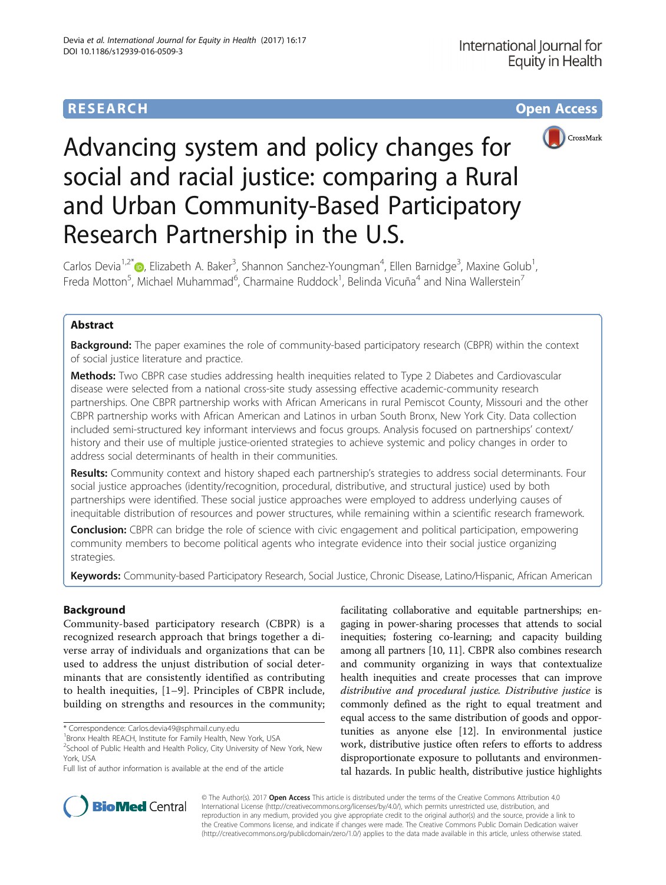# **RESEARCH CHE Open Access**



# Advancing system and policy changes for social and racial justice: comparing a Rural and Urban Community-Based Participatory Research Partnership in the U.S.

Carlos Devia<sup>1[,](http://orcid.org/0000-0003-1230-2498)2\*</sup>®, Elizabeth A. Baker<sup>3</sup>, Shannon Sanchez-Youngman<sup>4</sup>, Ellen Barnidge<sup>3</sup>, Maxine Golub<sup>1</sup> , Freda Motton<sup>5</sup>, Michael Muhammad<sup>6</sup>, Charmaine Ruddock<sup>1</sup>, Belinda Vicuña<sup>4</sup> and Nina Wallerstein<sup>7</sup>

# Abstract

**Background:** The paper examines the role of community-based participatory research (CBPR) within the context of social justice literature and practice.

Methods: Two CBPR case studies addressing health inequities related to Type 2 Diabetes and Cardiovascular disease were selected from a national cross-site study assessing effective academic-community research partnerships. One CBPR partnership works with African Americans in rural Pemiscot County, Missouri and the other CBPR partnership works with African American and Latinos in urban South Bronx, New York City. Data collection included semi-structured key informant interviews and focus groups. Analysis focused on partnerships' context/ history and their use of multiple justice-oriented strategies to achieve systemic and policy changes in order to address social determinants of health in their communities.

Results: Community context and history shaped each partnership's strategies to address social determinants. Four social justice approaches (identity/recognition, procedural, distributive, and structural justice) used by both partnerships were identified. These social justice approaches were employed to address underlying causes of inequitable distribution of resources and power structures, while remaining within a scientific research framework.

**Conclusion:** CBPR can bridge the role of science with civic engagement and political participation, empowering community members to become political agents who integrate evidence into their social justice organizing strategies.

Keywords: Community-based Participatory Research, Social Justice, Chronic Disease, Latino/Hispanic, African American

# Background

Community-based participatory research (CBPR) is a recognized research approach that brings together a diverse array of individuals and organizations that can be used to address the unjust distribution of social determinants that are consistently identified as contributing to health inequities, [[1](#page-12-0)–[9\]](#page-12-0). Principles of CBPR include, building on strengths and resources in the community;

\* Correspondence: [Carlos.devia49@sphmail.cuny.edu](mailto:Carlos.devia49@sphmail.cuny.edu) <sup>1</sup>

<sup>2</sup>School of Public Health and Health Policy, City University of New York, New York, USA

facilitating collaborative and equitable partnerships; engaging in power-sharing processes that attends to social inequities; fostering co-learning; and capacity building among all partners [\[10, 11\]](#page-12-0). CBPR also combines research and community organizing in ways that contextualize health inequities and create processes that can improve distributive and procedural justice. Distributive justice is commonly defined as the right to equal treatment and equal access to the same distribution of goods and opportunities as anyone else [\[12](#page-12-0)]. In environmental justice work, distributive justice often refers to efforts to address disproportionate exposure to pollutants and environmental hazards. In public health, distributive justice highlights



© The Author(s). 2017 **Open Access** This article is distributed under the terms of the Creative Commons Attribution 4.0 International License [\(http://creativecommons.org/licenses/by/4.0/](http://creativecommons.org/licenses/by/4.0/)), which permits unrestricted use, distribution, and reproduction in any medium, provided you give appropriate credit to the original author(s) and the source, provide a link to the Creative Commons license, and indicate if changes were made. The Creative Commons Public Domain Dedication waiver [\(http://creativecommons.org/publicdomain/zero/1.0/](http://creativecommons.org/publicdomain/zero/1.0/)) applies to the data made available in this article, unless otherwise stated.

<sup>&</sup>lt;sup>1</sup> Bronx Health REACH, Institute for Family Health, New York, USA

Full list of author information is available at the end of the article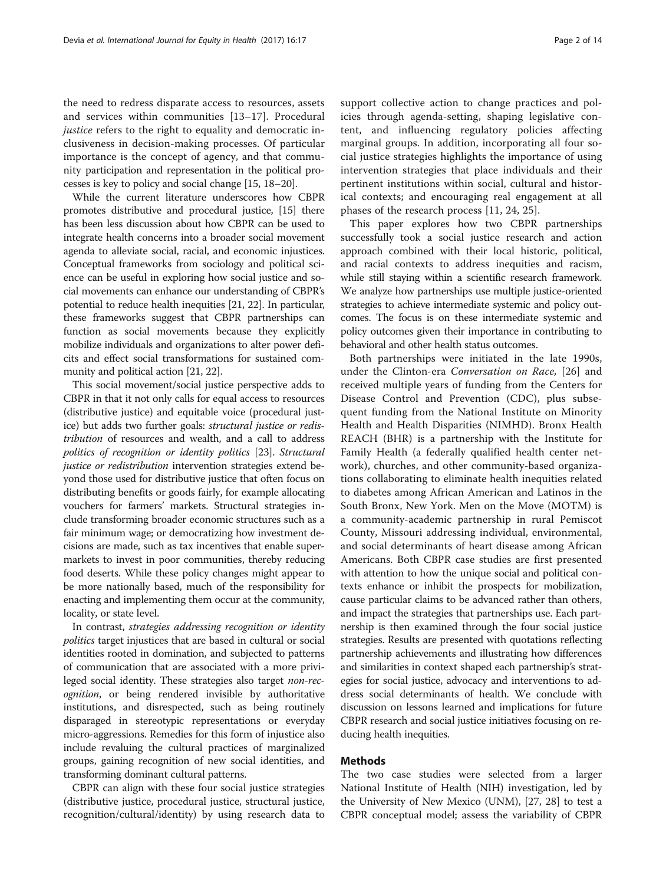the need to redress disparate access to resources, assets and services within communities [[13](#page-12-0)–[17\]](#page-12-0). Procedural justice refers to the right to equality and democratic inclusiveness in decision-making processes. Of particular importance is the concept of agency, and that community participation and representation in the political processes is key to policy and social change [\[15](#page-12-0), [18](#page-12-0)–[20\]](#page-13-0).

While the current literature underscores how CBPR promotes distributive and procedural justice, [\[15\]](#page-12-0) there has been less discussion about how CBPR can be used to integrate health concerns into a broader social movement agenda to alleviate social, racial, and economic injustices. Conceptual frameworks from sociology and political science can be useful in exploring how social justice and social movements can enhance our understanding of CBPR's potential to reduce health inequities [\[21, 22](#page-13-0)]. In particular, these frameworks suggest that CBPR partnerships can function as social movements because they explicitly mobilize individuals and organizations to alter power deficits and effect social transformations for sustained community and political action [[21](#page-13-0), [22\]](#page-13-0).

This social movement/social justice perspective adds to CBPR in that it not only calls for equal access to resources (distributive justice) and equitable voice (procedural justice) but adds two further goals: structural justice or redistribution of resources and wealth, and a call to address politics of recognition or identity politics [\[23\]](#page-13-0). Structural justice or redistribution intervention strategies extend beyond those used for distributive justice that often focus on distributing benefits or goods fairly, for example allocating vouchers for farmers' markets. Structural strategies include transforming broader economic structures such as a fair minimum wage; or democratizing how investment decisions are made, such as tax incentives that enable supermarkets to invest in poor communities, thereby reducing food deserts. While these policy changes might appear to be more nationally based, much of the responsibility for enacting and implementing them occur at the community, locality, or state level.

In contrast, strategies addressing recognition or identity politics target injustices that are based in cultural or social identities rooted in domination, and subjected to patterns of communication that are associated with a more privileged social identity. These strategies also target non-recognition, or being rendered invisible by authoritative institutions, and disrespected, such as being routinely disparaged in stereotypic representations or everyday micro-aggressions. Remedies for this form of injustice also include revaluing the cultural practices of marginalized groups, gaining recognition of new social identities, and transforming dominant cultural patterns.

CBPR can align with these four social justice strategies (distributive justice, procedural justice, structural justice, recognition/cultural/identity) by using research data to support collective action to change practices and policies through agenda-setting, shaping legislative content, and influencing regulatory policies affecting marginal groups. In addition, incorporating all four social justice strategies highlights the importance of using intervention strategies that place individuals and their pertinent institutions within social, cultural and historical contexts; and encouraging real engagement at all phases of the research process [\[11](#page-12-0), [24, 25\]](#page-13-0).

This paper explores how two CBPR partnerships successfully took a social justice research and action approach combined with their local historic, political, and racial contexts to address inequities and racism, while still staying within a scientific research framework. We analyze how partnerships use multiple justice-oriented strategies to achieve intermediate systemic and policy outcomes. The focus is on these intermediate systemic and policy outcomes given their importance in contributing to behavioral and other health status outcomes.

Both partnerships were initiated in the late 1990s, under the Clinton-era Conversation on Race, [[26\]](#page-13-0) and received multiple years of funding from the Centers for Disease Control and Prevention (CDC), plus subsequent funding from the National Institute on Minority Health and Health Disparities (NIMHD). Bronx Health REACH (BHR) is a partnership with the Institute for Family Health (a federally qualified health center network), churches, and other community-based organizations collaborating to eliminate health inequities related to diabetes among African American and Latinos in the South Bronx, New York. Men on the Move (MOTM) is a community-academic partnership in rural Pemiscot County, Missouri addressing individual, environmental, and social determinants of heart disease among African Americans. Both CBPR case studies are first presented with attention to how the unique social and political contexts enhance or inhibit the prospects for mobilization, cause particular claims to be advanced rather than others, and impact the strategies that partnerships use. Each partnership is then examined through the four social justice strategies. Results are presented with quotations reflecting partnership achievements and illustrating how differences and similarities in context shaped each partnership's strategies for social justice, advocacy and interventions to address social determinants of health. We conclude with discussion on lessons learned and implications for future CBPR research and social justice initiatives focusing on reducing health inequities.

# Methods

The two case studies were selected from a larger National Institute of Health (NIH) investigation, led by the University of New Mexico (UNM), [[27](#page-13-0), [28\]](#page-13-0) to test a CBPR conceptual model; assess the variability of CBPR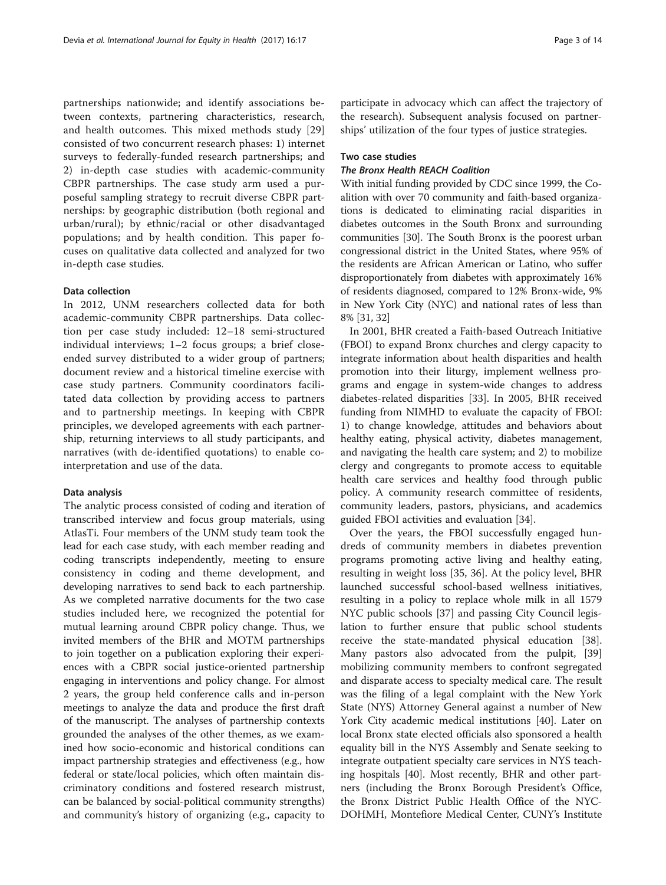partnerships nationwide; and identify associations between contexts, partnering characteristics, research, and health outcomes. This mixed methods study [\[29](#page-13-0)] consisted of two concurrent research phases: 1) internet surveys to federally-funded research partnerships; and 2) in-depth case studies with academic-community CBPR partnerships. The case study arm used a purposeful sampling strategy to recruit diverse CBPR partnerships: by geographic distribution (both regional and urban/rural); by ethnic/racial or other disadvantaged populations; and by health condition. This paper focuses on qualitative data collected and analyzed for two in-depth case studies.

#### Data collection

In 2012, UNM researchers collected data for both academic-community CBPR partnerships. Data collection per case study included: 12–18 semi-structured individual interviews; 1–2 focus groups; a brief closeended survey distributed to a wider group of partners; document review and a historical timeline exercise with case study partners. Community coordinators facilitated data collection by providing access to partners and to partnership meetings. In keeping with CBPR principles, we developed agreements with each partnership, returning interviews to all study participants, and narratives (with de-identified quotations) to enable cointerpretation and use of the data.

#### Data analysis

The analytic process consisted of coding and iteration of transcribed interview and focus group materials, using AtlasTi. Four members of the UNM study team took the lead for each case study, with each member reading and coding transcripts independently, meeting to ensure consistency in coding and theme development, and developing narratives to send back to each partnership. As we completed narrative documents for the two case studies included here, we recognized the potential for mutual learning around CBPR policy change. Thus, we invited members of the BHR and MOTM partnerships to join together on a publication exploring their experiences with a CBPR social justice-oriented partnership engaging in interventions and policy change. For almost 2 years, the group held conference calls and in-person meetings to analyze the data and produce the first draft of the manuscript. The analyses of partnership contexts grounded the analyses of the other themes, as we examined how socio-economic and historical conditions can impact partnership strategies and effectiveness (e.g., how federal or state/local policies, which often maintain discriminatory conditions and fostered research mistrust, can be balanced by social-political community strengths) and community's history of organizing (e.g., capacity to

participate in advocacy which can affect the trajectory of the research). Subsequent analysis focused on partnerships' utilization of the four types of justice strategies.

# Two case studies

#### The Bronx Health REACH Coalition

With initial funding provided by CDC since 1999, the Coalition with over 70 community and faith-based organizations is dedicated to eliminating racial disparities in diabetes outcomes in the South Bronx and surrounding communities [\[30](#page-13-0)]. The South Bronx is the poorest urban congressional district in the United States, where 95% of the residents are African American or Latino, who suffer disproportionately from diabetes with approximately 16% of residents diagnosed, compared to 12% Bronx-wide, 9% in New York City (NYC) and national rates of less than 8% [\[31, 32\]](#page-13-0)

In 2001, BHR created a Faith-based Outreach Initiative (FBOI) to expand Bronx churches and clergy capacity to integrate information about health disparities and health promotion into their liturgy, implement wellness programs and engage in system-wide changes to address diabetes-related disparities [\[33](#page-13-0)]. In 2005, BHR received funding from NIMHD to evaluate the capacity of FBOI: 1) to change knowledge, attitudes and behaviors about healthy eating, physical activity, diabetes management, and navigating the health care system; and 2) to mobilize clergy and congregants to promote access to equitable health care services and healthy food through public policy. A community research committee of residents, community leaders, pastors, physicians, and academics guided FBOI activities and evaluation [\[34](#page-13-0)].

Over the years, the FBOI successfully engaged hundreds of community members in diabetes prevention programs promoting active living and healthy eating, resulting in weight loss [[35, 36\]](#page-13-0). At the policy level, BHR launched successful school-based wellness initiatives, resulting in a policy to replace whole milk in all 1579 NYC public schools [\[37](#page-13-0)] and passing City Council legislation to further ensure that public school students receive the state-mandated physical education [\[38](#page-13-0)]. Many pastors also advocated from the pulpit, [[39](#page-13-0)] mobilizing community members to confront segregated and disparate access to specialty medical care. The result was the filing of a legal complaint with the New York State (NYS) Attorney General against a number of New York City academic medical institutions [[40](#page-13-0)]. Later on local Bronx state elected officials also sponsored a health equality bill in the NYS Assembly and Senate seeking to integrate outpatient specialty care services in NYS teaching hospitals [\[40\]](#page-13-0). Most recently, BHR and other partners (including the Bronx Borough President's Office, the Bronx District Public Health Office of the NYC-DOHMH, Montefiore Medical Center, CUNY's Institute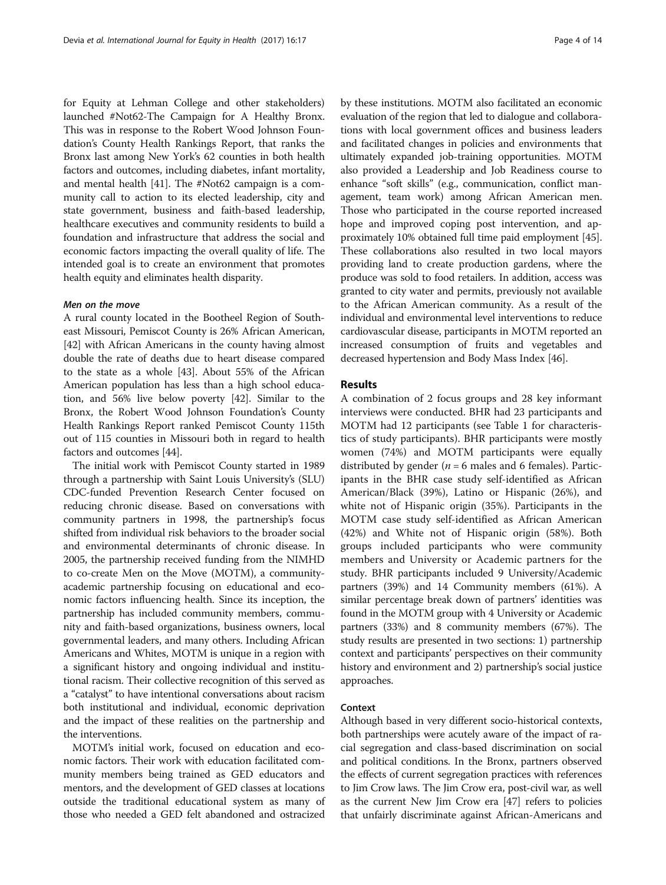for Equity at Lehman College and other stakeholders) launched #Not62-The Campaign for A Healthy Bronx. This was in response to the Robert Wood Johnson Foundation's County Health Rankings Report, that ranks the Bronx last among New York's 62 counties in both health factors and outcomes, including diabetes, infant mortality, and mental health [[41](#page-13-0)]. The #Not62 campaign is a community call to action to its elected leadership, city and state government, business and faith-based leadership, healthcare executives and community residents to build a foundation and infrastructure that address the social and economic factors impacting the overall quality of life. The intended goal is to create an environment that promotes health equity and eliminates health disparity.

#### Men on the move

A rural county located in the Bootheel Region of Southeast Missouri, Pemiscot County is 26% African American, [[42](#page-13-0)] with African Americans in the county having almost double the rate of deaths due to heart disease compared to the state as a whole [[43](#page-13-0)]. About 55% of the African American population has less than a high school education, and 56% live below poverty [[42](#page-13-0)]. Similar to the Bronx, the Robert Wood Johnson Foundation's County Health Rankings Report ranked Pemiscot County 115th out of 115 counties in Missouri both in regard to health factors and outcomes [\[44\]](#page-13-0).

The initial work with Pemiscot County started in 1989 through a partnership with Saint Louis University's (SLU) CDC-funded Prevention Research Center focused on reducing chronic disease. Based on conversations with community partners in 1998, the partnership's focus shifted from individual risk behaviors to the broader social and environmental determinants of chronic disease. In 2005, the partnership received funding from the NIMHD to co-create Men on the Move (MOTM), a communityacademic partnership focusing on educational and economic factors influencing health. Since its inception, the partnership has included community members, community and faith-based organizations, business owners, local governmental leaders, and many others. Including African Americans and Whites, MOTM is unique in a region with a significant history and ongoing individual and institutional racism. Their collective recognition of this served as a "catalyst" to have intentional conversations about racism both institutional and individual, economic deprivation and the impact of these realities on the partnership and the interventions.

MOTM's initial work, focused on education and economic factors. Their work with education facilitated community members being trained as GED educators and mentors, and the development of GED classes at locations outside the traditional educational system as many of those who needed a GED felt abandoned and ostracized by these institutions. MOTM also facilitated an economic evaluation of the region that led to dialogue and collaborations with local government offices and business leaders and facilitated changes in policies and environments that ultimately expanded job-training opportunities. MOTM also provided a Leadership and Job Readiness course to enhance "soft skills" (e.g., communication, conflict management, team work) among African American men. Those who participated in the course reported increased hope and improved coping post intervention, and approximately 10% obtained full time paid employment [[45](#page-13-0)]. These collaborations also resulted in two local mayors providing land to create production gardens, where the produce was sold to food retailers. In addition, access was granted to city water and permits, previously not available to the African American community. As a result of the individual and environmental level interventions to reduce cardiovascular disease, participants in MOTM reported an increased consumption of fruits and vegetables and decreased hypertension and Body Mass Index [\[46\]](#page-13-0).

#### Results

A combination of 2 focus groups and 28 key informant interviews were conducted. BHR had 23 participants and MOTM had 12 participants (see Table [1](#page-4-0) for characteristics of study participants). BHR participants were mostly women (74%) and MOTM participants were equally distributed by gender ( $n = 6$  males and 6 females). Participants in the BHR case study self-identified as African American/Black (39%), Latino or Hispanic (26%), and white not of Hispanic origin (35%). Participants in the MOTM case study self-identified as African American (42%) and White not of Hispanic origin (58%). Both groups included participants who were community members and University or Academic partners for the study. BHR participants included 9 University/Academic partners (39%) and 14 Community members (61%). A similar percentage break down of partners' identities was found in the MOTM group with 4 University or Academic partners (33%) and 8 community members (67%). The study results are presented in two sections: 1) partnership context and participants' perspectives on their community history and environment and 2) partnership's social justice approaches.

## Context

Although based in very different socio-historical contexts, both partnerships were acutely aware of the impact of racial segregation and class-based discrimination on social and political conditions. In the Bronx, partners observed the effects of current segregation practices with references to Jim Crow laws. The Jim Crow era, post-civil war, as well as the current New Jim Crow era [\[47\]](#page-13-0) refers to policies that unfairly discriminate against African-Americans and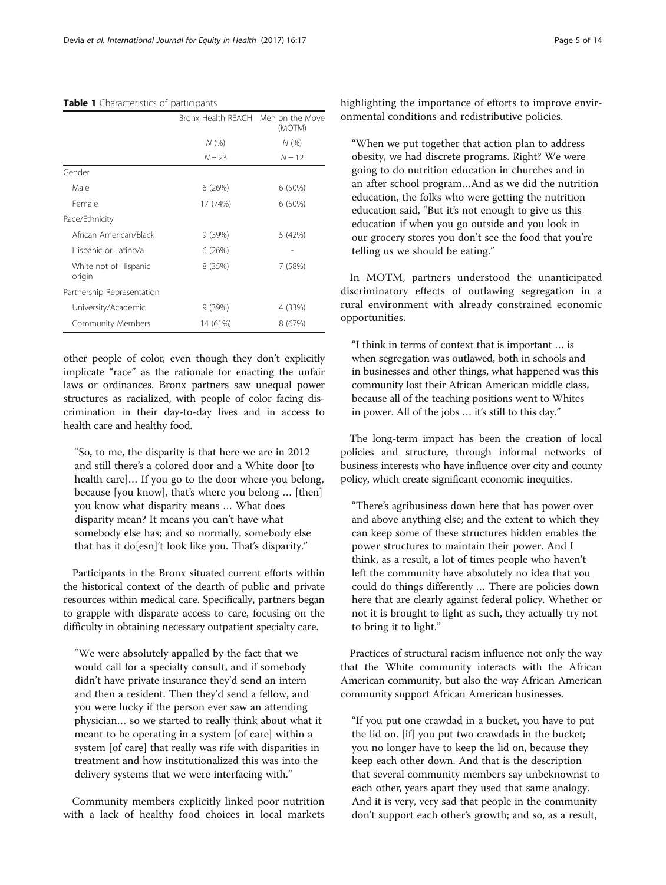|                                 | Bronx Health REACH Men on the Move | (MOTM)   |
|---------------------------------|------------------------------------|----------|
|                                 | N(%)                               | N(%)     |
|                                 | $N = 23$                           | $N = 12$ |
| Gender                          |                                    |          |
| Male                            | 6(26%)                             | 6(50%)   |
| Female                          | 17 (74%)                           | 6(50%)   |
| Race/Ethnicity                  |                                    |          |
| African American/Black          | 9 (39%)                            | 5 (42%)  |
| Hispanic or Latino/a            | 6(26%)                             |          |
| White not of Hispanic<br>origin | 8 (35%)                            | 7 (58%)  |
| Partnership Representation      |                                    |          |
| University/Academic             | 9(39%)                             | 4 (33%)  |
| Community Members               | 14 (61%)                           | 8 (67%)  |

#### <span id="page-4-0"></span>Table 1 Characteristics of participants

other people of color, even though they don't explicitly implicate "race" as the rationale for enacting the unfair laws or ordinances. Bronx partners saw unequal power structures as racialized, with people of color facing discrimination in their day-to-day lives and in access to health care and healthy food.

"So, to me, the disparity is that here we are in 2012 and still there's a colored door and a White door [to health care]… If you go to the door where you belong, because [you know], that's where you belong … [then] you know what disparity means … What does disparity mean? It means you can't have what somebody else has; and so normally, somebody else that has it do[esn]'t look like you. That's disparity."

Participants in the Bronx situated current efforts within the historical context of the dearth of public and private resources within medical care. Specifically, partners began to grapple with disparate access to care, focusing on the difficulty in obtaining necessary outpatient specialty care.

"We were absolutely appalled by the fact that we would call for a specialty consult, and if somebody didn't have private insurance they'd send an intern and then a resident. Then they'd send a fellow, and you were lucky if the person ever saw an attending physician… so we started to really think about what it meant to be operating in a system [of care] within a system [of care] that really was rife with disparities in treatment and how institutionalized this was into the delivery systems that we were interfacing with."

Community members explicitly linked poor nutrition with a lack of healthy food choices in local markets highlighting the importance of efforts to improve environmental conditions and redistributive policies.

"When we put together that action plan to address obesity, we had discrete programs. Right? We were going to do nutrition education in churches and in an after school program…And as we did the nutrition education, the folks who were getting the nutrition education said, "But it's not enough to give us this education if when you go outside and you look in our grocery stores you don't see the food that you're telling us we should be eating."

In MOTM, partners understood the unanticipated discriminatory effects of outlawing segregation in a rural environment with already constrained economic opportunities.

"I think in terms of context that is important … is when segregation was outlawed, both in schools and in businesses and other things, what happened was this community lost their African American middle class, because all of the teaching positions went to Whites in power. All of the jobs … it's still to this day."

The long-term impact has been the creation of local policies and structure, through informal networks of business interests who have influence over city and county policy, which create significant economic inequities.

"There's agribusiness down here that has power over and above anything else; and the extent to which they can keep some of these structures hidden enables the power structures to maintain their power. And I think, as a result, a lot of times people who haven't left the community have absolutely no idea that you could do things differently … There are policies down here that are clearly against federal policy. Whether or not it is brought to light as such, they actually try not to bring it to light."

Practices of structural racism influence not only the way that the White community interacts with the African American community, but also the way African American community support African American businesses.

"If you put one crawdad in a bucket, you have to put the lid on. [if] you put two crawdads in the bucket; you no longer have to keep the lid on, because they keep each other down. And that is the description that several community members say unbeknownst to each other, years apart they used that same analogy. And it is very, very sad that people in the community don't support each other's growth; and so, as a result,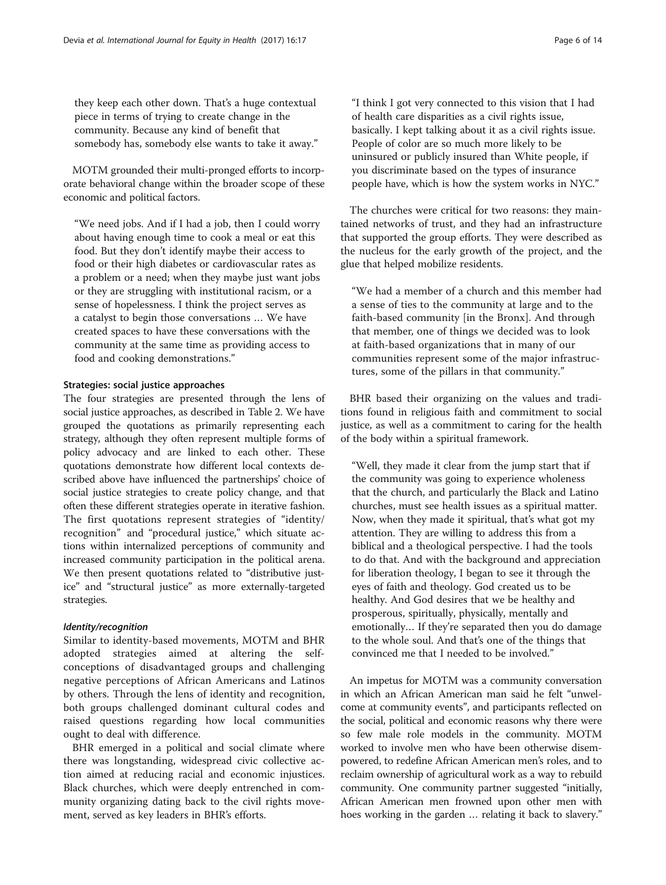they keep each other down. That's a huge contextual piece in terms of trying to create change in the community. Because any kind of benefit that somebody has, somebody else wants to take it away."

MOTM grounded their multi-pronged efforts to incorporate behavioral change within the broader scope of these economic and political factors.

"We need jobs. And if I had a job, then I could worry about having enough time to cook a meal or eat this food. But they don't identify maybe their access to food or their high diabetes or cardiovascular rates as a problem or a need; when they maybe just want jobs or they are struggling with institutional racism, or a sense of hopelessness. I think the project serves as a catalyst to begin those conversations … We have created spaces to have these conversations with the community at the same time as providing access to food and cooking demonstrations."

#### Strategies: social justice approaches

The four strategies are presented through the lens of social justice approaches, as described in Table [2.](#page-6-0) We have grouped the quotations as primarily representing each strategy, although they often represent multiple forms of policy advocacy and are linked to each other. These quotations demonstrate how different local contexts described above have influenced the partnerships' choice of social justice strategies to create policy change, and that often these different strategies operate in iterative fashion. The first quotations represent strategies of "identity/ recognition" and "procedural justice," which situate actions within internalized perceptions of community and increased community participation in the political arena. We then present quotations related to "distributive justice" and "structural justice" as more externally-targeted strategies.

# Identity/recognition

Similar to identity-based movements, MOTM and BHR adopted strategies aimed at altering the selfconceptions of disadvantaged groups and challenging negative perceptions of African Americans and Latinos by others. Through the lens of identity and recognition, both groups challenged dominant cultural codes and raised questions regarding how local communities ought to deal with difference.

BHR emerged in a political and social climate where there was longstanding, widespread civic collective action aimed at reducing racial and economic injustices. Black churches, which were deeply entrenched in community organizing dating back to the civil rights movement, served as key leaders in BHR's efforts.

"I think I got very connected to this vision that I had of health care disparities as a civil rights issue, basically. I kept talking about it as a civil rights issue. People of color are so much more likely to be uninsured or publicly insured than White people, if you discriminate based on the types of insurance people have, which is how the system works in NYC."

The churches were critical for two reasons: they maintained networks of trust, and they had an infrastructure that supported the group efforts. They were described as the nucleus for the early growth of the project, and the glue that helped mobilize residents.

"We had a member of a church and this member had a sense of ties to the community at large and to the faith-based community [in the Bronx]. And through that member, one of things we decided was to look at faith-based organizations that in many of our communities represent some of the major infrastructures, some of the pillars in that community."

BHR based their organizing on the values and traditions found in religious faith and commitment to social justice, as well as a commitment to caring for the health of the body within a spiritual framework.

"Well, they made it clear from the jump start that if the community was going to experience wholeness that the church, and particularly the Black and Latino churches, must see health issues as a spiritual matter. Now, when they made it spiritual, that's what got my attention. They are willing to address this from a biblical and a theological perspective. I had the tools to do that. And with the background and appreciation for liberation theology, I began to see it through the eyes of faith and theology. God created us to be healthy. And God desires that we be healthy and prosperous, spiritually, physically, mentally and emotionally… If they're separated then you do damage to the whole soul. And that's one of the things that convinced me that I needed to be involved."

An impetus for MOTM was a community conversation in which an African American man said he felt "unwelcome at community events", and participants reflected on the social, political and economic reasons why there were so few male role models in the community. MOTM worked to involve men who have been otherwise disempowered, to redefine African American men's roles, and to reclaim ownership of agricultural work as a way to rebuild community. One community partner suggested "initially, African American men frowned upon other men with hoes working in the garden … relating it back to slavery."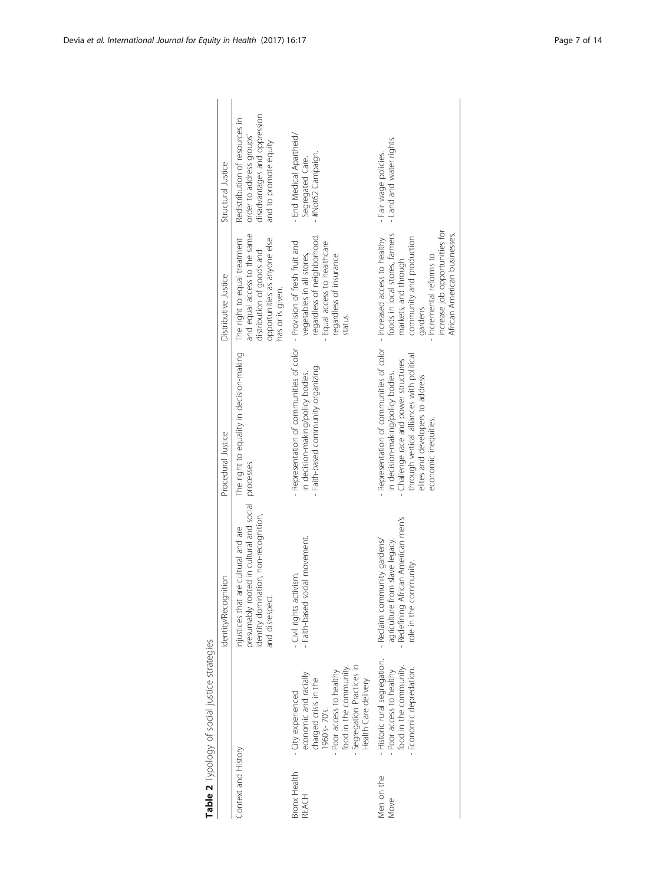<span id="page-6-0"></span>

|                           | Table 2 Typology of social justice strategies                                                                                                                                                |                                                                                                                                                      |                                                                                                                                                                                                                                                             |                                                                                                                                                                                              |                                                                                                                      |
|---------------------------|----------------------------------------------------------------------------------------------------------------------------------------------------------------------------------------------|------------------------------------------------------------------------------------------------------------------------------------------------------|-------------------------------------------------------------------------------------------------------------------------------------------------------------------------------------------------------------------------------------------------------------|----------------------------------------------------------------------------------------------------------------------------------------------------------------------------------------------|----------------------------------------------------------------------------------------------------------------------|
|                           |                                                                                                                                                                                              | Identity/Recognition                                                                                                                                 | Procedural Justice                                                                                                                                                                                                                                          | Distributive Justice                                                                                                                                                                         | Structural Justice                                                                                                   |
| Context and History       |                                                                                                                                                                                              | presumably rooted in cultural and social<br>identity domination, non-recognition,<br>Injustices that are cultural and are<br>and disrespect.         | The right to equality in decision-making<br>processes.                                                                                                                                                                                                      | and equal access to the same<br>The right to equal treatment<br>opportunities as anyone else<br>distribution of goods and<br>has or is given.                                                | disadvantages and oppression<br>Redistribution of resources in<br>order to address groups'<br>and to promote equity. |
| Bronx Health<br>REACH     | Segregation Practices in<br>food in the community.<br>Poor access to healthy<br>economic and racially<br>Health Care delivery.<br>charged crisis in the<br>- City experienced<br>960's-70's. | Faith-based social movement.<br>- Civil rights activism.                                                                                             | Representation of communities of color - Provision of fresh fruit and<br>- Faith-based community organizing.<br>in decision-making/policy bodies.                                                                                                           | regardless of neighborhood.<br>Equal access to healthcare<br>regardless of insurance<br>vegetables in all stores,<br>status.                                                                 | - End Medical Apartheid/<br>#Not62 Campaign.<br>Segregated Care.                                                     |
| Men on the<br><b>Move</b> | - Historic rural segregation.<br>food in the community.<br>Economic depredation.<br>- Poor access to healthy                                                                                 | African American men's<br>- Reclaim community gardens/<br>agriculture from slave legacy.<br>Redefining African American<br>community.<br>role in the | Representation of communities of color - Increased access to healthy<br>through vertical alliances with political<br>- Challenge race and power structures<br>in decision-making/policy bodies.<br>elites and developers to address<br>economic inequities. | increase job opportunities for<br>foods in local stores, farmers<br>African American businesses.<br>community and production<br>- Incremental reforms to<br>markets, and through<br>gardens. | - Land and water rights.<br>- Fair wage policies.                                                                    |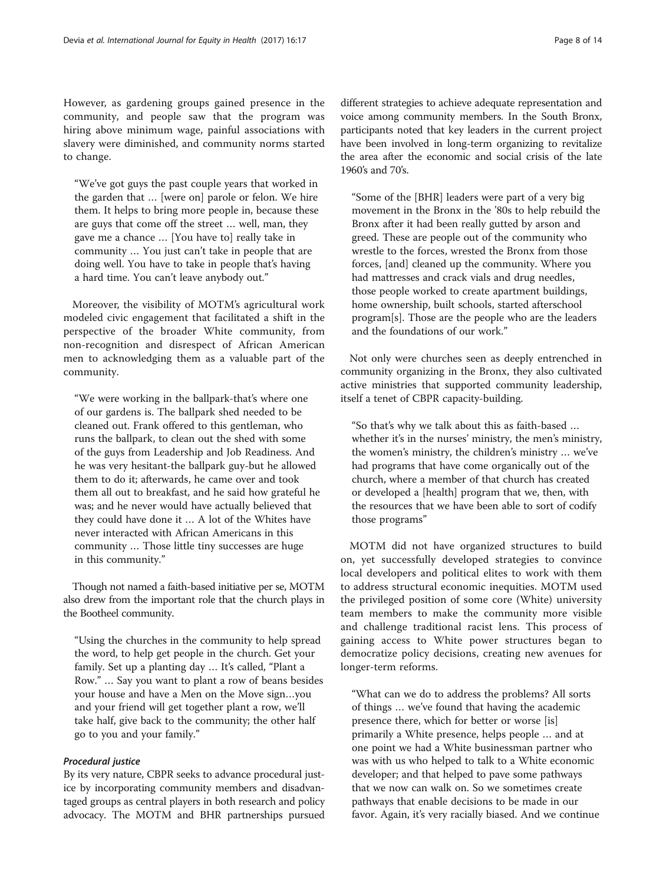However, as gardening groups gained presence in the community, and people saw that the program was hiring above minimum wage, painful associations with slavery were diminished, and community norms started to change.

"We've got guys the past couple years that worked in the garden that … [were on] parole or felon. We hire them. It helps to bring more people in, because these are guys that come off the street … well, man, they gave me a chance … [You have to] really take in community … You just can't take in people that are doing well. You have to take in people that's having a hard time. You can't leave anybody out."

Moreover, the visibility of MOTM's agricultural work modeled civic engagement that facilitated a shift in the perspective of the broader White community, from non-recognition and disrespect of African American men to acknowledging them as a valuable part of the community.

"We were working in the ballpark-that's where one of our gardens is. The ballpark shed needed to be cleaned out. Frank offered to this gentleman, who runs the ballpark, to clean out the shed with some of the guys from Leadership and Job Readiness. And he was very hesitant-the ballpark guy-but he allowed them to do it; afterwards, he came over and took them all out to breakfast, and he said how grateful he was; and he never would have actually believed that they could have done it … A lot of the Whites have never interacted with African Americans in this community … Those little tiny successes are huge in this community."

Though not named a faith-based initiative per se, MOTM also drew from the important role that the church plays in the Bootheel community.

"Using the churches in the community to help spread the word, to help get people in the church. Get your family. Set up a planting day … It's called, "Plant a Row." … Say you want to plant a row of beans besides your house and have a Men on the Move sign…you and your friend will get together plant a row, we'll take half, give back to the community; the other half go to you and your family."

# Procedural justice

By its very nature, CBPR seeks to advance procedural justice by incorporating community members and disadvantaged groups as central players in both research and policy advocacy. The MOTM and BHR partnerships pursued

different strategies to achieve adequate representation and voice among community members. In the South Bronx, participants noted that key leaders in the current project have been involved in long-term organizing to revitalize the area after the economic and social crisis of the late 1960's and 70's.

"Some of the [BHR] leaders were part of a very big movement in the Bronx in the '80s to help rebuild the Bronx after it had been really gutted by arson and greed. These are people out of the community who wrestle to the forces, wrested the Bronx from those forces, [and] cleaned up the community. Where you had mattresses and crack vials and drug needles, those people worked to create apartment buildings, home ownership, built schools, started afterschool program[s]. Those are the people who are the leaders and the foundations of our work."

Not only were churches seen as deeply entrenched in community organizing in the Bronx, they also cultivated active ministries that supported community leadership, itself a tenet of CBPR capacity-building.

"So that's why we talk about this as faith-based … whether it's in the nurses' ministry, the men's ministry, the women's ministry, the children's ministry … we've had programs that have come organically out of the church, where a member of that church has created or developed a [health] program that we, then, with the resources that we have been able to sort of codify those programs"

MOTM did not have organized structures to build on, yet successfully developed strategies to convince local developers and political elites to work with them to address structural economic inequities. MOTM used the privileged position of some core (White) university team members to make the community more visible and challenge traditional racist lens. This process of gaining access to White power structures began to democratize policy decisions, creating new avenues for longer-term reforms.

"What can we do to address the problems? All sorts of things … we've found that having the academic presence there, which for better or worse [is] primarily a White presence, helps people … and at one point we had a White businessman partner who was with us who helped to talk to a White economic developer; and that helped to pave some pathways that we now can walk on. So we sometimes create pathways that enable decisions to be made in our favor. Again, it's very racially biased. And we continue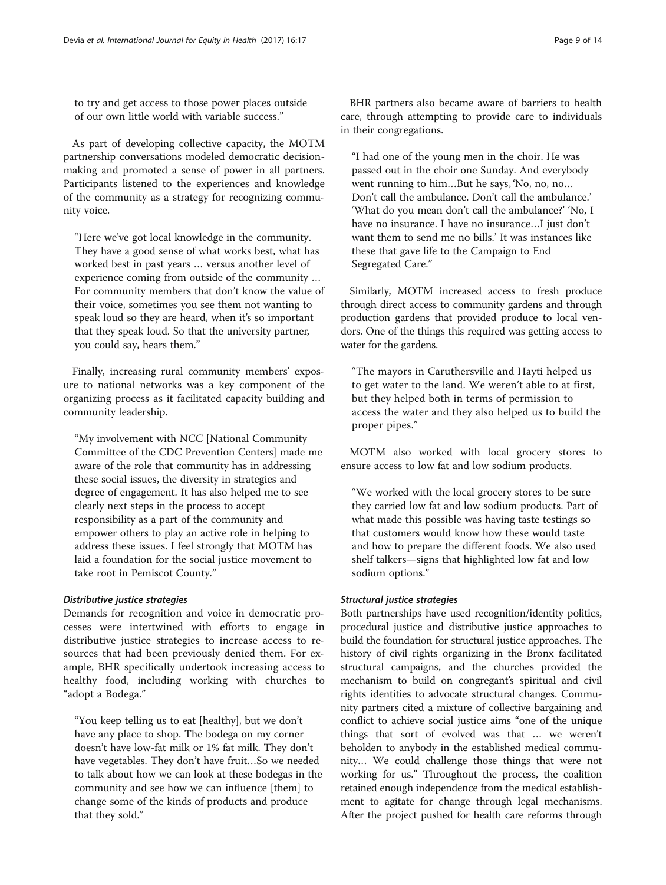to try and get access to those power places outside of our own little world with variable success."

As part of developing collective capacity, the MOTM partnership conversations modeled democratic decisionmaking and promoted a sense of power in all partners. Participants listened to the experiences and knowledge of the community as a strategy for recognizing community voice.

"Here we've got local knowledge in the community. They have a good sense of what works best, what has worked best in past years … versus another level of experience coming from outside of the community … For community members that don't know the value of their voice, sometimes you see them not wanting to speak loud so they are heard, when it's so important that they speak loud. So that the university partner, you could say, hears them."

Finally, increasing rural community members' exposure to national networks was a key component of the organizing process as it facilitated capacity building and community leadership.

"My involvement with NCC [National Community Committee of the CDC Prevention Centers] made me aware of the role that community has in addressing these social issues, the diversity in strategies and degree of engagement. It has also helped me to see clearly next steps in the process to accept responsibility as a part of the community and empower others to play an active role in helping to address these issues. I feel strongly that MOTM has laid a foundation for the social justice movement to take root in Pemiscot County."

#### Distributive justice strategies

Demands for recognition and voice in democratic processes were intertwined with efforts to engage in distributive justice strategies to increase access to resources that had been previously denied them. For example, BHR specifically undertook increasing access to healthy food, including working with churches to "adopt a Bodega."

"You keep telling us to eat [healthy], but we don't have any place to shop. The bodega on my corner doesn't have low-fat milk or 1% fat milk. They don't have vegetables. They don't have fruit…So we needed to talk about how we can look at these bodegas in the community and see how we can influence [them] to change some of the kinds of products and produce that they sold."

BHR partners also became aware of barriers to health care, through attempting to provide care to individuals in their congregations.

"I had one of the young men in the choir. He was passed out in the choir one Sunday. And everybody went running to him…But he says, 'No, no, no… Don't call the ambulance. Don't call the ambulance.' 'What do you mean don't call the ambulance?' 'No, I have no insurance. I have no insurance…I just don't want them to send me no bills.' It was instances like these that gave life to the Campaign to End Segregated Care."

Similarly, MOTM increased access to fresh produce through direct access to community gardens and through production gardens that provided produce to local vendors. One of the things this required was getting access to water for the gardens.

"The mayors in Caruthersville and Hayti helped us to get water to the land. We weren't able to at first, but they helped both in terms of permission to access the water and they also helped us to build the proper pipes."

MOTM also worked with local grocery stores to ensure access to low fat and low sodium products.

"We worked with the local grocery stores to be sure they carried low fat and low sodium products. Part of what made this possible was having taste testings so that customers would know how these would taste and how to prepare the different foods. We also used shelf talkers—signs that highlighted low fat and low sodium options."

## Structural justice strategies

Both partnerships have used recognition/identity politics, procedural justice and distributive justice approaches to build the foundation for structural justice approaches. The history of civil rights organizing in the Bronx facilitated structural campaigns, and the churches provided the mechanism to build on congregant's spiritual and civil rights identities to advocate structural changes. Community partners cited a mixture of collective bargaining and conflict to achieve social justice aims "one of the unique things that sort of evolved was that … we weren't beholden to anybody in the established medical community… We could challenge those things that were not working for us." Throughout the process, the coalition retained enough independence from the medical establishment to agitate for change through legal mechanisms. After the project pushed for health care reforms through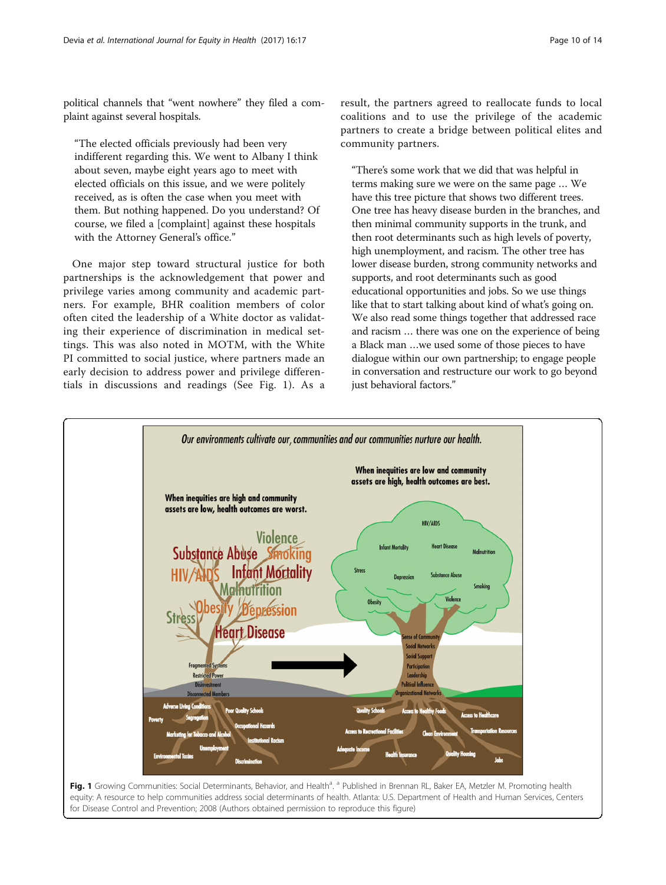political channels that "went nowhere" they filed a complaint against several hospitals.

"The elected officials previously had been very indifferent regarding this. We went to Albany I think about seven, maybe eight years ago to meet with elected officials on this issue, and we were politely received, as is often the case when you meet with them. But nothing happened. Do you understand? Of course, we filed a [complaint] against these hospitals with the Attorney General's office."

One major step toward structural justice for both partnerships is the acknowledgement that power and privilege varies among community and academic partners. For example, BHR coalition members of color often cited the leadership of a White doctor as validating their experience of discrimination in medical settings. This was also noted in MOTM, with the White PI committed to social justice, where partners made an early decision to address power and privilege differentials in discussions and readings (See Fig. 1). As a

result, the partners agreed to reallocate funds to local coalitions and to use the privilege of the academic partners to create a bridge between political elites and community partners.

"There's some work that we did that was helpful in terms making sure we were on the same page … We have this tree picture that shows two different trees. One tree has heavy disease burden in the branches, and then minimal community supports in the trunk, and then root determinants such as high levels of poverty, high unemployment, and racism. The other tree has lower disease burden, strong community networks and supports, and root determinants such as good educational opportunities and jobs. So we use things like that to start talking about kind of what's going on. We also read some things together that addressed race and racism … there was one on the experience of being a Black man …we used some of those pieces to have dialogue within our own partnership; to engage people in conversation and restructure our work to go beyond just behavioral factors."

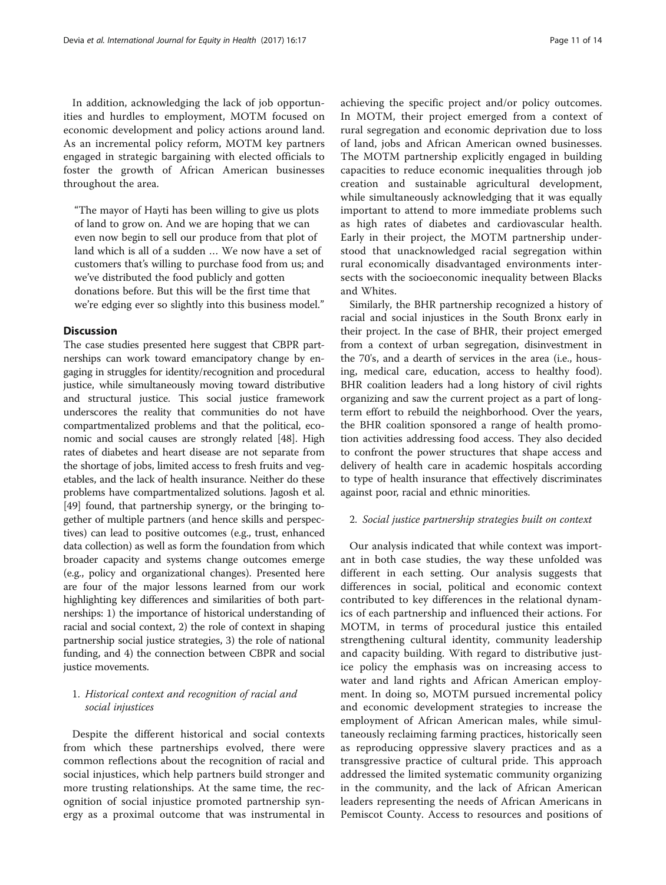In addition, acknowledging the lack of job opportunities and hurdles to employment, MOTM focused on economic development and policy actions around land. As an incremental policy reform, MOTM key partners engaged in strategic bargaining with elected officials to foster the growth of African American businesses throughout the area.

"The mayor of Hayti has been willing to give us plots of land to grow on. And we are hoping that we can even now begin to sell our produce from that plot of land which is all of a sudden … We now have a set of customers that's willing to purchase food from us; and we've distributed the food publicly and gotten donations before. But this will be the first time that we're edging ever so slightly into this business model."

## **Discussion**

The case studies presented here suggest that CBPR partnerships can work toward emancipatory change by engaging in struggles for identity/recognition and procedural justice, while simultaneously moving toward distributive and structural justice. This social justice framework underscores the reality that communities do not have compartmentalized problems and that the political, economic and social causes are strongly related [\[48\]](#page-13-0). High rates of diabetes and heart disease are not separate from the shortage of jobs, limited access to fresh fruits and vegetables, and the lack of health insurance. Neither do these problems have compartmentalized solutions. Jagosh et al. [[49](#page-13-0)] found, that partnership synergy, or the bringing together of multiple partners (and hence skills and perspectives) can lead to positive outcomes (e.g., trust, enhanced data collection) as well as form the foundation from which broader capacity and systems change outcomes emerge (e.g., policy and organizational changes). Presented here are four of the major lessons learned from our work highlighting key differences and similarities of both partnerships: 1) the importance of historical understanding of racial and social context, 2) the role of context in shaping partnership social justice strategies, 3) the role of national funding, and 4) the connection between CBPR and social justice movements.

# 1. Historical context and recognition of racial and social injustices

Despite the different historical and social contexts from which these partnerships evolved, there were common reflections about the recognition of racial and social injustices, which help partners build stronger and more trusting relationships. At the same time, the recognition of social injustice promoted partnership synergy as a proximal outcome that was instrumental in achieving the specific project and/or policy outcomes. In MOTM, their project emerged from a context of rural segregation and economic deprivation due to loss of land, jobs and African American owned businesses. The MOTM partnership explicitly engaged in building capacities to reduce economic inequalities through job creation and sustainable agricultural development, while simultaneously acknowledging that it was equally important to attend to more immediate problems such as high rates of diabetes and cardiovascular health. Early in their project, the MOTM partnership understood that unacknowledged racial segregation within rural economically disadvantaged environments intersects with the socioeconomic inequality between Blacks and Whites.

Similarly, the BHR partnership recognized a history of racial and social injustices in the South Bronx early in their project. In the case of BHR, their project emerged from a context of urban segregation, disinvestment in the 70's, and a dearth of services in the area (i.e., housing, medical care, education, access to healthy food). BHR coalition leaders had a long history of civil rights organizing and saw the current project as a part of longterm effort to rebuild the neighborhood. Over the years, the BHR coalition sponsored a range of health promotion activities addressing food access. They also decided to confront the power structures that shape access and delivery of health care in academic hospitals according to type of health insurance that effectively discriminates against poor, racial and ethnic minorities.

### 2. Social justice partnership strategies built on context

Our analysis indicated that while context was important in both case studies, the way these unfolded was different in each setting. Our analysis suggests that differences in social, political and economic context contributed to key differences in the relational dynamics of each partnership and influenced their actions. For MOTM, in terms of procedural justice this entailed strengthening cultural identity, community leadership and capacity building. With regard to distributive justice policy the emphasis was on increasing access to water and land rights and African American employment. In doing so, MOTM pursued incremental policy and economic development strategies to increase the employment of African American males, while simultaneously reclaiming farming practices, historically seen as reproducing oppressive slavery practices and as a transgressive practice of cultural pride. This approach addressed the limited systematic community organizing in the community, and the lack of African American leaders representing the needs of African Americans in Pemiscot County. Access to resources and positions of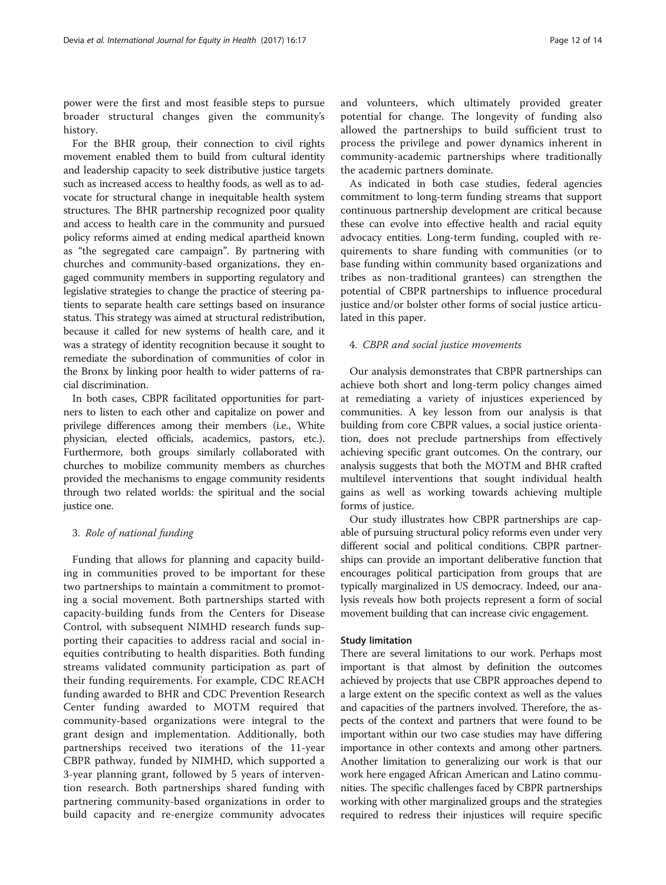power were the first and most feasible steps to pursue broader structural changes given the community's history.

For the BHR group, their connection to civil rights movement enabled them to build from cultural identity and leadership capacity to seek distributive justice targets such as increased access to healthy foods, as well as to advocate for structural change in inequitable health system structures. The BHR partnership recognized poor quality and access to health care in the community and pursued policy reforms aimed at ending medical apartheid known as "the segregated care campaign". By partnering with churches and community-based organizations, they engaged community members in supporting regulatory and legislative strategies to change the practice of steering patients to separate health care settings based on insurance status. This strategy was aimed at structural redistribution, because it called for new systems of health care, and it was a strategy of identity recognition because it sought to remediate the subordination of communities of color in the Bronx by linking poor health to wider patterns of racial discrimination.

In both cases, CBPR facilitated opportunities for partners to listen to each other and capitalize on power and privilege differences among their members (i.e., White physician, elected officials, academics, pastors, etc.). Furthermore, both groups similarly collaborated with churches to mobilize community members as churches provided the mechanisms to engage community residents through two related worlds: the spiritual and the social justice one.

## 3. Role of national funding

Funding that allows for planning and capacity building in communities proved to be important for these two partnerships to maintain a commitment to promoting a social movement. Both partnerships started with capacity-building funds from the Centers for Disease Control, with subsequent NIMHD research funds supporting their capacities to address racial and social inequities contributing to health disparities. Both funding streams validated community participation as part of their funding requirements. For example, CDC REACH funding awarded to BHR and CDC Prevention Research Center funding awarded to MOTM required that community-based organizations were integral to the grant design and implementation. Additionally, both partnerships received two iterations of the 11-year CBPR pathway, funded by NIMHD, which supported a 3-year planning grant, followed by 5 years of intervention research. Both partnerships shared funding with partnering community-based organizations in order to build capacity and re-energize community advocates and volunteers, which ultimately provided greater potential for change. The longevity of funding also allowed the partnerships to build sufficient trust to process the privilege and power dynamics inherent in community-academic partnerships where traditionally the academic partners dominate.

As indicated in both case studies, federal agencies commitment to long-term funding streams that support continuous partnership development are critical because these can evolve into effective health and racial equity advocacy entities. Long-term funding, coupled with requirements to share funding with communities (or to base funding within community based organizations and tribes as non-traditional grantees) can strengthen the potential of CBPR partnerships to influence procedural justice and/or bolster other forms of social justice articulated in this paper.

#### 4. CBPR and social justice movements

Our analysis demonstrates that CBPR partnerships can achieve both short and long-term policy changes aimed at remediating a variety of injustices experienced by communities. A key lesson from our analysis is that building from core CBPR values, a social justice orientation, does not preclude partnerships from effectively achieving specific grant outcomes. On the contrary, our analysis suggests that both the MOTM and BHR crafted multilevel interventions that sought individual health gains as well as working towards achieving multiple forms of justice.

Our study illustrates how CBPR partnerships are capable of pursuing structural policy reforms even under very different social and political conditions. CBPR partnerships can provide an important deliberative function that encourages political participation from groups that are typically marginalized in US democracy. Indeed, our analysis reveals how both projects represent a form of social movement building that can increase civic engagement.

#### Study limitation

There are several limitations to our work. Perhaps most important is that almost by definition the outcomes achieved by projects that use CBPR approaches depend to a large extent on the specific context as well as the values and capacities of the partners involved. Therefore, the aspects of the context and partners that were found to be important within our two case studies may have differing importance in other contexts and among other partners. Another limitation to generalizing our work is that our work here engaged African American and Latino communities. The specific challenges faced by CBPR partnerships working with other marginalized groups and the strategies required to redress their injustices will require specific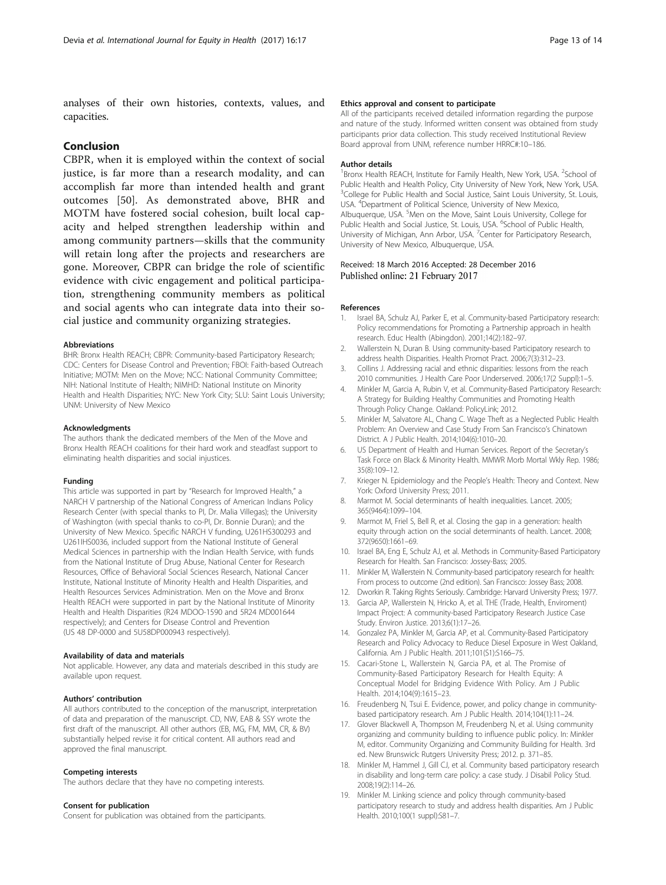<span id="page-12-0"></span>analyses of their own histories, contexts, values, and capacities.

# Conclusion

CBPR, when it is employed within the context of social justice, is far more than a research modality, and can accomplish far more than intended health and grant outcomes [[50\]](#page-13-0). As demonstrated above, BHR and MOTM have fostered social cohesion, built local capacity and helped strengthen leadership within and among community partners—skills that the community will retain long after the projects and researchers are gone. Moreover, CBPR can bridge the role of scientific evidence with civic engagement and political participation, strengthening community members as political and social agents who can integrate data into their social justice and community organizing strategies.

#### Abbreviations

BHR: Bronx Health REACH; CBPR: Community-based Participatory Research; CDC: Centers for Disease Control and Prevention; FBOI: Faith-based Outreach Initiative; MOTM: Men on the Move; NCC: National Community Committee; NIH: National Institute of Health; NIMHD: National Institute on Minority Health and Health Disparities; NYC: New York City; SLU: Saint Louis University; UNM: University of New Mexico

#### **Acknowledaments**

The authors thank the dedicated members of the Men of the Move and Bronx Health REACH coalitions for their hard work and steadfast support to eliminating health disparities and social injustices.

#### Funding

This article was supported in part by "Research for Improved Health," a NARCH V partnership of the National Congress of American Indians Policy Research Center (with special thanks to PI, Dr. Malia Villegas); the University of Washington (with special thanks to co-PI, Dr. Bonnie Duran); and the University of New Mexico. Specific NARCH V funding, U261HS300293 and U261IHS0036, included support from the National Institute of General Medical Sciences in partnership with the Indian Health Service, with funds from the National Institute of Drug Abuse, National Center for Research Resources, Office of Behavioral Social Sciences Research, National Cancer Institute, National Institute of Minority Health and Health Disparities, and Health Resources Services Administration. Men on the Move and Bronx Health REACH were supported in part by the National Institute of Minority Health and Health Disparities (R24 MDOO-1590 and 5R24 MD001644 respectively); and Centers for Disease Control and Prevention (US 48 DP-0000 and 5U58DP000943 respectively).

#### Availability of data and materials

Not applicable. However, any data and materials described in this study are available upon request.

#### Authors' contribution

All authors contributed to the conception of the manuscript, interpretation of data and preparation of the manuscript. CD, NW, EAB & SSY wrote the first draft of the manuscript. All other authors (EB, MG, FM, MM, CR, & BV) substantially helped revise it for critical content. All authors read and approved the final manuscript.

#### Competing interests

The authors declare that they have no competing interests.

#### Consent for publication

Consent for publication was obtained from the participants.

#### Ethics approval and consent to participate

All of the participants received detailed information regarding the purpose and nature of the study. Informed written consent was obtained from study participants prior data collection. This study received Institutional Review Board approval from UNM, reference number HRRC#:10–186.

#### Author details

<sup>1</sup> Bronx Health REACH, Institute for Family Health, New York, USA. <sup>2</sup> School of Public Health and Health Policy, City University of New York, New York, USA. <sup>3</sup>College for Public Health and Social Justice, Saint Louis University, St. Louis USA. <sup>4</sup> Department of Political Science, University of New Mexico, Albuquerque, USA.<sup>5</sup>Men on the Move, Saint Louis University, College for Public Health and Social Justice, St. Louis, USA. <sup>6</sup>School of Public Health, University of Michigan, Ann Arbor, USA. <sup>7</sup> Center for Participatory Research University of New Mexico, Albuquerque, USA.

#### Received: 18 March 2016 Accepted: 28 December 2016 Published online: 21 February 2017

#### References

- Israel BA, Schulz AJ, Parker E, et al. Community-based Participatory research: Policy recommendations for Promoting a Partnership approach in health research. Educ Health (Abingdon). 2001;14(2):182–97.
- 2. Wallerstein N, Duran B. Using community-based Participatory research to address health Disparities. Health Promot Pract. 2006;7(3):312–23.
- 3. Collins J. Addressing racial and ethnic disparities: lessons from the reach 2010 communities. J Health Care Poor Underserved. 2006;17(2 Suppl):1–5.
- Minkler M, Garcia A, Rubin V, et al. Community-Based Participatory Research: A Strategy for Building Healthy Communities and Promoting Health Through Policy Change. Oakland: PolicyLink; 2012.
- Minkler M, Salvatore AL, Chang C. Wage Theft as a Neglected Public Health Problem: An Overview and Case Study From San Francisco's Chinatown District. A J Public Health. 2014;104(6):1010–20.
- 6. US Department of Health and Human Services. Report of the Secretary's Task Force on Black & Minority Health. MMWR Morb Mortal Wkly Rep. 1986; 35(8):109–12.
- 7. Krieger N. Epidemiology and the People's Health: Theory and Context. New York: Oxford University Press; 2011.
- 8. Marmot M. Social determinants of health inequalities. Lancet. 2005; 365(9464):1099–104.
- 9. Marmot M, Friel S, Bell R, et al. Closing the gap in a generation: health equity through action on the social determinants of health. Lancet. 2008; 372(9650):1661–69.
- 10. Israel BA, Eng E, Schulz AJ, et al. Methods in Community-Based Participatory Research for Health. San Francisco: Jossey-Bass; 2005.
- 11. Minkler M, Wallerstein N. Community-based participatory research for health: From process to outcome (2nd edition). San Francisco: Jossey Bass; 2008.
- 12. Dworkin R. Taking Rights Seriously. Cambridge: Harvard University Press; 1977.
- 13. Garcia AP, Wallerstein N, Hricko A, et al. THE (Trade, Health, Enviroment) Impact Project: A community-based Participatory Research Justice Case Study. Environ Justice. 2013;6(1):17–26.
- 14. Gonzalez PA, Minkler M, Garcia AP, et al. Community-Based Participatory Research and Policy Advocacy to Reduce Diesel Exposure in West Oakland, California. Am J Public Health. 2011;101(S1):S166–75.
- 15. Cacari-Stone L, Wallerstein N, Garcia PA, et al. The Promise of Community-Based Participatory Research for Health Equity: A Conceptual Model for Bridging Evidence With Policy. Am J Public Health. 2014;104(9):1615–23.
- 16. Freudenberg N, Tsui E. Evidence, power, and policy change in communitybased participatory research. Am J Public Health. 2014;104(1):11–24.
- 17. Glover Blackwell A, Thompson M, Freudenberg N, et al. Using community organizing and community building to influence public policy. In: Minkler M, editor. Community Organizing and Community Building for Health. 3rd ed. New Brunswick: Rutgers University Press; 2012. p. 371–85.
- 18. Minkler M, Hammel J, Gill CJ, et al. Community based participatory research in disability and long-term care policy: a case study. J Disabil Policy Stud. 2008;19(2):114–26.
- 19. Minkler M. Linking science and policy through community-based participatory research to study and address health disparities. Am J Public Health. 2010;100(1 suppl):S81–7.